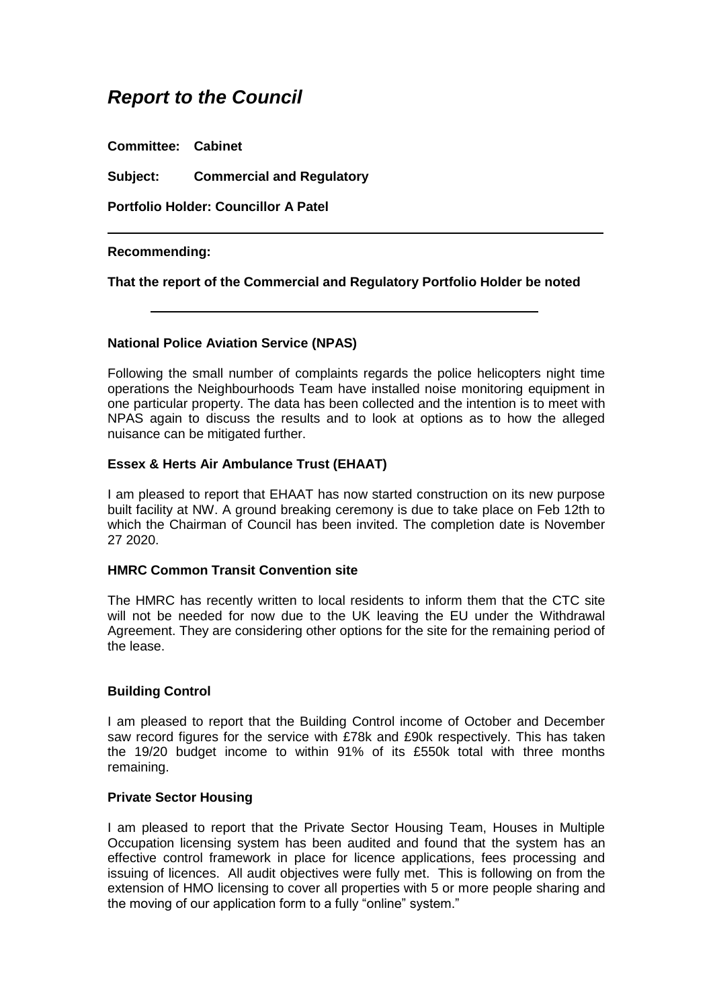# *Report to the Council*

**Committee: Cabinet**

**Subject: Commercial and Regulatory**

**Portfolio Holder: Councillor A Patel**

### **Recommending:**

**That the report of the Commercial and Regulatory Portfolio Holder be noted**

### **National Police Aviation Service (NPAS)**

Following the small number of complaints regards the police helicopters night time operations the Neighbourhoods Team have installed noise monitoring equipment in one particular property. The data has been collected and the intention is to meet with NPAS again to discuss the results and to look at options as to how the alleged nuisance can be mitigated further.

### **Essex & Herts Air Ambulance Trust (EHAAT)**

I am pleased to report that EHAAT has now started construction on its new purpose built facility at NW. A ground breaking ceremony is due to take place on Feb 12th to which the Chairman of Council has been invited. The completion date is November 27 2020.

### **HMRC Common Transit Convention site**

The HMRC has recently written to local residents to inform them that the CTC site will not be needed for now due to the UK leaving the EU under the Withdrawal Agreement. They are considering other options for the site for the remaining period of the lease.

## **Building Control**

I am pleased to report that the Building Control income of October and December saw record figures for the service with £78k and £90k respectively. This has taken the 19/20 budget income to within 91% of its £550k total with three months remaining.

### **Private Sector Housing**

I am pleased to report that the Private Sector Housing Team, Houses in Multiple Occupation licensing system has been audited and found that the system has an effective control framework in place for licence applications, fees processing and issuing of licences. All audit objectives were fully met. This is following on from the extension of HMO licensing to cover all properties with 5 or more people sharing and the moving of our application form to a fully "online" system."